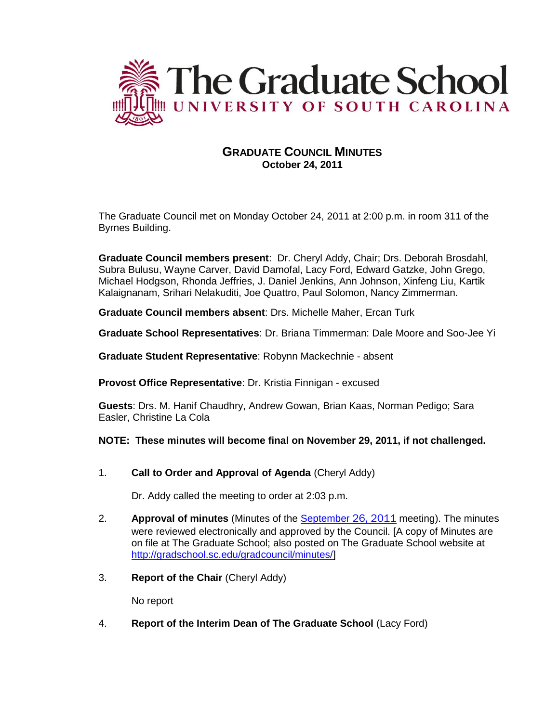

# **GRADUATE COUNCIL MINUTES October 24, 2011**

The Graduate Council met on Monday October 24, 2011 at 2:00 p.m. in room 311 of the Byrnes Building.

**Graduate Council members present**: Dr. Cheryl Addy, Chair; Drs. Deborah Brosdahl, Subra Bulusu, Wayne Carver, David Damofal, Lacy Ford, Edward Gatzke, John Grego, Michael Hodgson, Rhonda Jeffries, J. Daniel Jenkins, Ann Johnson, Xinfeng Liu, Kartik Kalaignanam, Srihari Nelakuditi, Joe Quattro, Paul Solomon, Nancy Zimmerman.

**Graduate Council members absent**: Drs. Michelle Maher, Ercan Turk

**Graduate School Representatives**: Dr. Briana Timmerman: Dale Moore and Soo-Jee Yi

**Graduate Student Representative**: Robynn Mackechnie - absent

**Provost Office Representative**: Dr. Kristia Finnigan - excused

**Guests**: Drs. M. Hanif Chaudhry, Andrew Gowan, Brian Kaas, Norman Pedigo; Sara Easler, Christine La Cola

### **NOTE: These minutes will become final on November 29, 2011, if not challenged.**

1. **Call to Order and Approval of Agenda** (Cheryl Addy)

Dr. Addy called the meeting to order at 2:03 p.m.

- 2. **Approval of minutes** (Minutes of the [September](http://gradschool.sc.edu/gradcouncil/minutes/GCMinutes092611.pdf) 26, 2011 meeting). The minutes were reviewed electronically and approved by the Council. [A copy of Minutes are on file at The Graduate School; also posted on The Graduate School website at [http://gradschool.sc.edu/gradcouncil/minutes/\]](http://gradschool.sc.edu/gradcouncil/minutes/)
- 3. **Report of the Chair** (Cheryl Addy)

No report

4. **Report of the Interim Dean of The Graduate School** (Lacy Ford)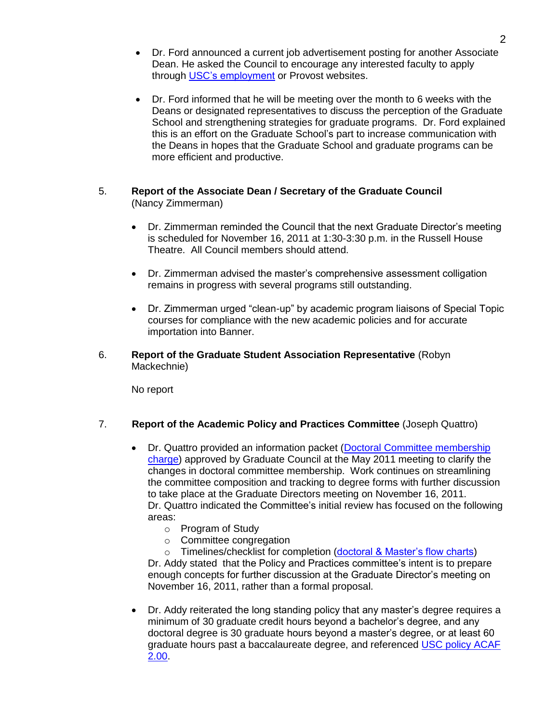- Dr. Ford announced a current job advertisement posting for another Associate Dean. He asked the Council to encourage any interested faculty to apply through [USC's employment](https://uscjobs.sc.edu/applicants/jsp/shared/frameset/Frameset.jsp?time=1319658204582) or Provost websites.
- Dr. Ford informed that he will be meeting over the month to 6 weeks with the Deans or designated representatives to discuss the perception of the Graduate School and strengthening strategies for graduate programs. Dr. Ford explained this is an effort on the Graduate School's part to increase communication with the Deans in hopes that the Graduate School and graduate programs can be more efficient and productive.

## 5. **Report of the Associate Dean / Secretary of the Graduate Council**  (Nancy Zimmerman)

- Dr. Zimmerman reminded the Council that the next Graduate Director's meeting is scheduled for November 16, 2011 at 1:30-3:30 p.m. in the Russell House Theatre. All Council members should attend.
- Dr. Zimmerman advised the master's comprehensive assessment colligation remains in progress with several programs still outstanding.
- Dr. Zimmerman urged "clean-up" by academic program liaisons of Special Topic courses for compliance with the new academic policies and for accurate importation into Banner.
- 6. **Report of the Graduate Student Association Representative** (Robyn Mackechnie)

No report

## 7. **Report of the Academic Policy and Practices Committee** (Joseph Quattro)

- Dr. Quattro provided an information packet (Doctoral Committee membership [charge\)](http://gradschool.sc.edu/gradcouncil/CURR_DOCS/Doctoral_Committee.pdf) approved by Graduate Council at the May 2011 meeting to clarify the changes in doctoral committee membership. Work continues on streamlining the committee composition and tracking to degree forms with further discussion to take place at the Graduate Directors meeting on November 16, 2011. Dr. Quattro indicated the Committee's initial review has focused on the following areas:
	- o Program of Study
	- o Committee congregation
	- o Timelines/checklist for completion [\(doctoral & Master's flow charts\)](http://gradschool.sc.edu/degreereq/)

Dr. Addy stated that the Policy and Practices committee's intent is to prepare enough concepts for further discussion at the Graduate Director's meeting on November 16, 2011, rather than a formal proposal.

 Dr. Addy reiterated the long standing policy that any master's degree requires a minimum of 30 graduate credit hours beyond a bachelor's degree, and any doctoral degree is 30 graduate hours beyond a master's degree, or at least 60 graduate hours past a baccalaureate degree, and referenced [USC policy ACAF](http://gradschool.sc.edu/gradcouncil/CURR_DOCS/acaf200.pdf)  [2.00.](http://gradschool.sc.edu/gradcouncil/CURR_DOCS/acaf200.pdf)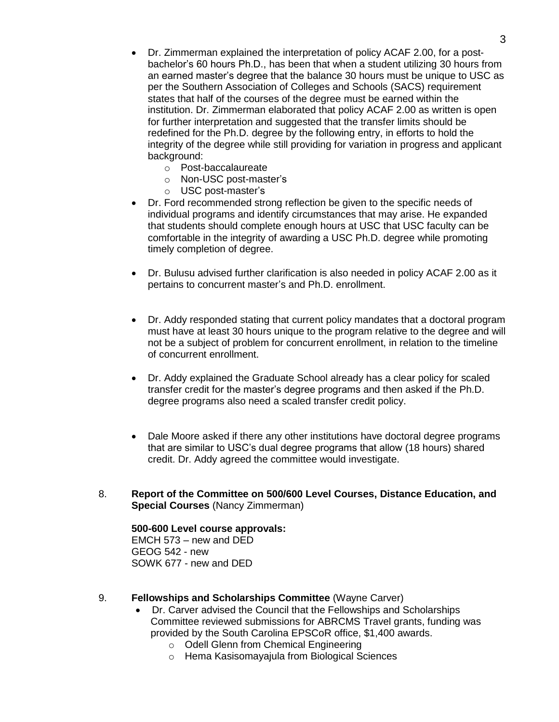- Dr. Zimmerman explained the interpretation of policy ACAF 2.00, for a postbachelor's 60 hours Ph.D., has been that when a student utilizing 30 hours from an earned master's degree that the balance 30 hours must be unique to USC as per the Southern Association of Colleges and Schools (SACS) requirement states that half of the courses of the degree must be earned within the institution. Dr. Zimmerman elaborated that policy ACAF 2.00 as written is open for further interpretation and suggested that the transfer limits should be redefined for the Ph.D. degree by the following entry, in efforts to hold the integrity of the degree while still providing for variation in progress and applicant background:
	- o Post-baccalaureate
	- o Non-USC post-master's
	- o USC post-master's
- Dr. Ford recommended strong reflection be given to the specific needs of individual programs and identify circumstances that may arise. He expanded that students should complete enough hours at USC that USC faculty can be comfortable in the integrity of awarding a USC Ph.D. degree while promoting timely completion of degree.
- Dr. Bulusu advised further clarification is also needed in policy ACAF 2.00 as it pertains to concurrent master's and Ph.D. enrollment.
- Dr. Addy responded stating that current policy mandates that a doctoral program must have at least 30 hours unique to the program relative to the degree and will not be a subject of problem for concurrent enrollment, in relation to the timeline of concurrent enrollment.
- Dr. Addy explained the Graduate School already has a clear policy for scaled transfer credit for the master's degree programs and then asked if the Ph.D. degree programs also need a scaled transfer credit policy.
- Dale Moore asked if there any other institutions have doctoral degree programs that are similar to USC's dual degree programs that allow (18 hours) shared credit. Dr. Addy agreed the committee would investigate.
- 8. **Report of the Committee on 500/600 Level Courses, Distance Education, and Special Courses** (Nancy Zimmerman)

## **500-600 Level course approvals:**

EMCH 573 – new and DED GEOG 542 - new SOWK 677 - new and DED

- 9. **Fellowships and Scholarships Committee** (Wayne Carver)
	- Dr. Carver advised the Council that the Fellowships and Scholarships Committee reviewed submissions for ABRCMS Travel grants, funding was provided by the South Carolina EPSCoR office, \$1,400 awards.
		- o Odell Glenn from Chemical Engineering
		- o Hema Kasisomayajula from Biological Sciences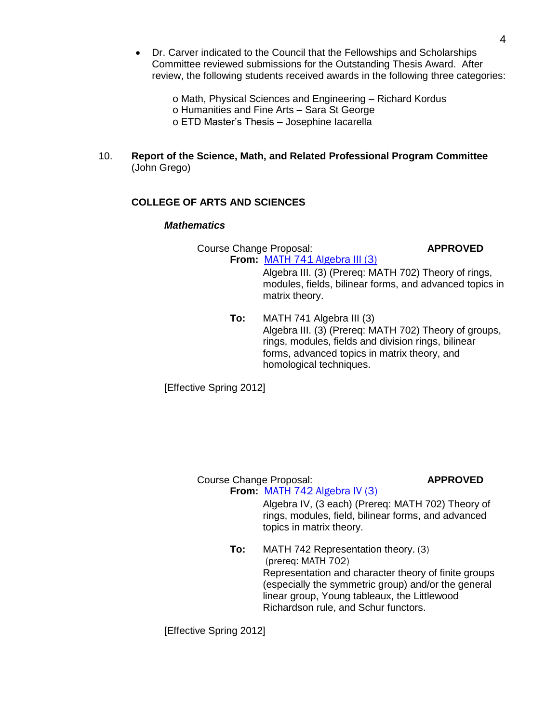Dr. Carver indicated to the Council that the Fellowships and Scholarships Committee reviewed submissions for the Outstanding Thesis Award. After review, the following students received awards in the following three categories:

> o Math, Physical Sciences and Engineering – Richard Kordus o Humanities and Fine Arts – Sara St George o ETD Master's Thesis – Josephine Iacarella

10. **Report of the Science, Math, and Related Professional Program Committee**  (John Grego)

## **COLLEGE OF ARTS AND SCIENCES**

## *Mathematics*

Course Change Proposal: **APPROVED From:** [MATH 741 Algebra III \(3\)](http://gradschool.sc.edu/gradcouncil/curr_docs/CCPMATH741_201141.pdf)

> Algebra III. (3) (Prereq: MATH 702) Theory of rings, modules, fields, bilinear forms, and advanced topics in matrix theory.

**To:** MATH 741 Algebra III (3) Algebra III. (3) (Prereq: MATH 702) Theory of groups, rings, modules, fields and division rings, bilinear forms, advanced topics in matrix theory, and homological techniques.

[Effective Spring 2012]

## Course Change Proposal: **APPROVED**

**From:** [MATH 742 Algebra IV \(3\)](http://gradschool.sc.edu/gradcouncil/curr_docs/CCPMATH742_201141.pdf) Algebra IV, (3 each) (Prereq: MATH 702) Theory of rings, modules, field, bilinear forms, and advanced topics in matrix theory.

**To:** MATH 742 Representation theory. (3) (prereq: MATH 702) Representation and character theory of finite groups (especially the symmetric group) and/or the general linear group, Young tableaux, the Littlewood Richardson rule, and Schur functors.

[Effective Spring 2012]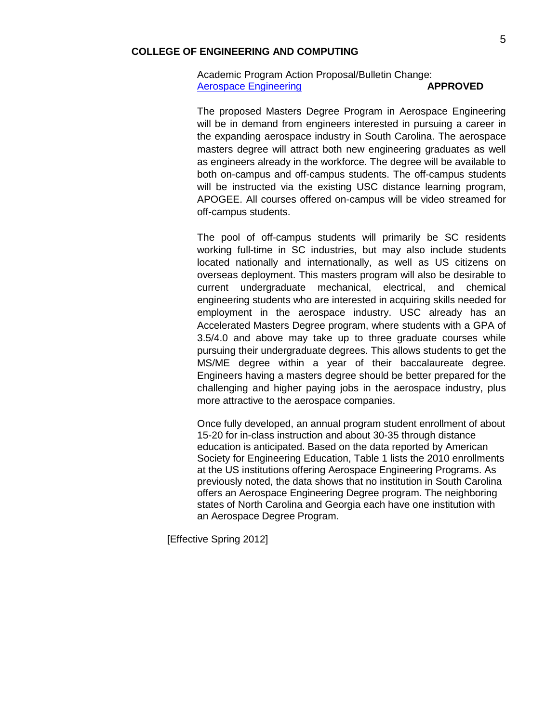#### **COLLEGE OF ENGINEERING AND COMPUTING**

### Academic Program Action Proposal/Bulletin Change: [Aerospace Engineering](http://gradschool.sc.edu/gradcouncil/curr_docs/APAENGRASPACE_201141.PDF) **APPROVED**

The proposed Masters Degree Program in Aerospace Engineering will be in demand from engineers interested in pursuing a career in the expanding aerospace industry in South Carolina. The aerospace masters degree will attract both new engineering graduates as well as engineers already in the workforce. The degree will be available to both on-campus and off-campus students. The off-campus students will be instructed via the existing USC distance learning program, APOGEE. All courses offered on-campus will be video streamed for off-campus students.

The pool of off-campus students will primarily be SC residents working full-time in SC industries, but may also include students located nationally and internationally, as well as US citizens on overseas deployment. This masters program will also be desirable to current undergraduate mechanical, electrical, and chemical engineering students who are interested in acquiring skills needed for employment in the aerospace industry. USC already has an Accelerated Masters Degree program, where students with a GPA of 3.5/4.0 and above may take up to three graduate courses while pursuing their undergraduate degrees. This allows students to get the MS/ME degree within a year of their baccalaureate degree. Engineers having a masters degree should be better prepared for the challenging and higher paying jobs in the aerospace industry, plus more attractive to the aerospace companies.

Once fully developed, an annual program student enrollment of about 15-20 for in-class instruction and about 30-35 through distance education is anticipated. Based on the data reported by American Society for Engineering Education, Table 1 lists the 2010 enrollments at the US institutions offering Aerospace Engineering Programs. As previously noted, the data shows that no institution in South Carolina offers an Aerospace Engineering Degree program. The neighboring states of North Carolina and Georgia each have one institution with an Aerospace Degree Program.

[Effective Spring 2012]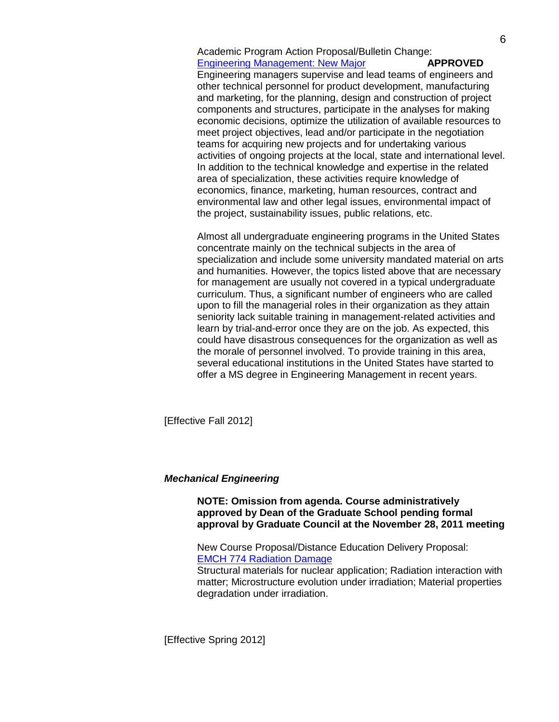Academic Program Action Proposal/Bulletin Change: [Engineering Management: New Major](http://gradschool.sc.edu/gradcouncil/curr_docs/APAENGRMGT_201141.pdf) **APPROVED**

Engineering managers supervise and lead teams of engineers and other technical personnel for product development, manufacturing and marketing, for the planning, design and construction of project components and structures, participate in the analyses for making economic decisions, optimize the utilization of available resources to meet project objectives, lead and/or participate in the negotiation teams for acquiring new projects and for undertaking various activities of ongoing projects at the local, state and international level. In addition to the technical knowledge and expertise in the related area of specialization, these activities require knowledge of economics, finance, marketing, human resources, contract and environmental law and other legal issues, environmental impact of the project, sustainability issues, public relations, etc.

Almost all undergraduate engineering programs in the United States concentrate mainly on the technical subjects in the area of specialization and include some university mandated material on arts and humanities. However, the topics listed above that are necessary for management are usually not covered in a typical undergraduate curriculum. Thus, a significant number of engineers who are called upon to fill the managerial roles in their organization as they attain seniority lack suitable training in management-related activities and learn by trial-and-error once they are on the job. As expected, this could have disastrous consequences for the organization as well as the morale of personnel involved. To provide training in this area, several educational institutions in the United States have started to offer a MS degree in Engineering Management in recent years.

[Effective Fall 2012]

### *Mechanical Engineering*

**NOTE: Omission from agenda. Course administratively approved by Dean of the Graduate School pending formal approval by Graduate Council at the November 28, 2011 meeting**

New Course Proposal/Distance Education Delivery Proposal: [EMCH 774 Radiation Damage](http://gradschool.sc.edu/gradcouncil/curr_docs/NCPEMCH774_201141.pdf)

Structural materials for nuclear application; Radiation interaction with matter; Microstructure evolution under irradiation; Material properties degradation under irradiation.

[Effective Spring 2012]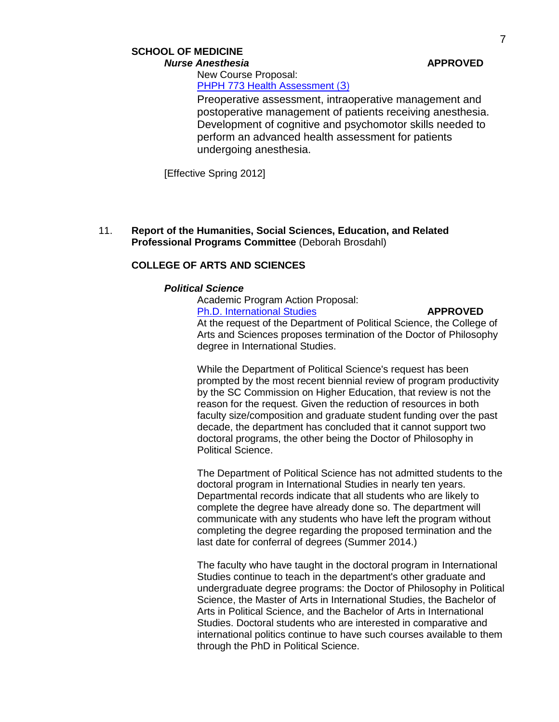## **SCHOOL OF MEDICINE** *Nurse Anesthesia* **APPROVED**

New Course Proposal: PHPH [773 Health Assessment](http://gradschool.sc.edu/gradcouncil/curr_docs/NCPPHPH773_201141.pdf) (3)

Preoperative assessment, intraoperative management and postoperative management of patients receiving anesthesia. Development of cognitive and psychomotor skills needed to perform an advanced health assessment for patients undergoing anesthesia.

[Effective Spring 2012]

11. **Report of the Humanities, Social Sciences, Education, and Related Professional Programs Committee** (Deborah Brosdahl)

## **COLLEGE OF ARTS AND SCIENCES**

#### *Political Science*

Academic Program Action Proposal: [Ph.D. International Studies](http://gradschool.sc.edu/gradcouncil/curr_docs/APAInternationalStudies_201141.pdf) **APPROVED**

At the request of the Department of Political Science, the College of Arts and Sciences proposes termination of the Doctor of Philosophy degree in International Studies.

While the Department of Political Science's request has been prompted by the most recent biennial review of program productivity by the SC Commission on Higher Education, that review is not the reason for the request. Given the reduction of resources in both faculty size/composition and graduate student funding over the past decade, the department has concluded that it cannot support two doctoral programs, the other being the Doctor of Philosophy in Political Science.

The Department of Political Science has not admitted students to the doctoral program in International Studies in nearly ten years. Departmental records indicate that all students who are likely to complete the degree have already done so. The department will communicate with any students who have left the program without completing the degree regarding the proposed termination and the last date for conferral of degrees (Summer 2014.)

The faculty who have taught in the doctoral program in International Studies continue to teach in the department's other graduate and undergraduate degree programs: the Doctor of Philosophy in Political Science, the Master of Arts in International Studies, the Bachelor of Arts in Political Science, and the Bachelor of Arts in International Studies. Doctoral students who are interested in comparative and international politics continue to have such courses available to them through the PhD in Political Science.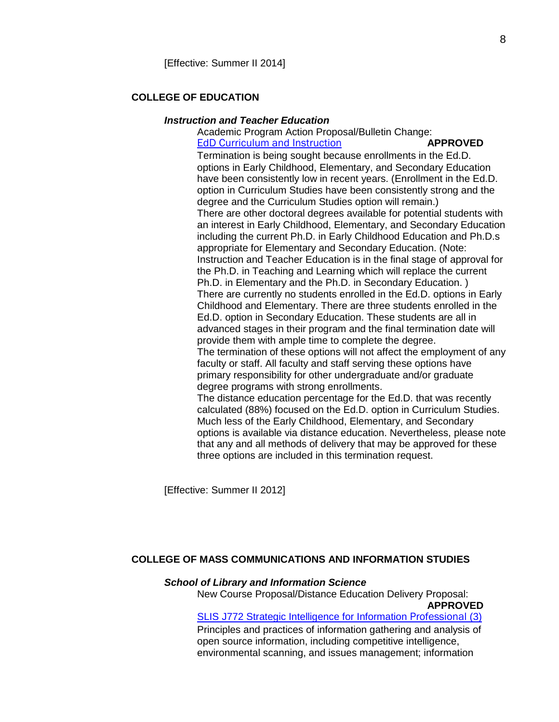### **COLLEGE OF EDUCATION**

#### *Instruction and Teacher Education*

Academic Program Action Proposal/Bulletin Change: EdD [Curriculum and Instruction](http://gradschool.sc.edu/gradcouncil/curr_docs/APAEDECEDD_201141.pdf) **APPROVED** 

Termination is being sought because enrollments in the Ed.D. options in Early Childhood, Elementary, and Secondary Education have been consistently low in recent years. (Enrollment in the Ed.D. option in Curriculum Studies have been consistently strong and the degree and the Curriculum Studies option will remain.) There are other doctoral degrees available for potential students with an interest in Early Childhood, Elementary, and Secondary Education including the current Ph.D. in Early Childhood Education and Ph.D.s appropriate for Elementary and Secondary Education. (Note: Instruction and Teacher Education is in the final stage of approval for the Ph.D. in Teaching and Learning which will replace the current Ph.D. in Elementary and the Ph.D. in Secondary Education. ) There are currently no students enrolled in the Ed.D. options in Early Childhood and Elementary. There are three students enrolled in the Ed.D. option in Secondary Education. These students are all in advanced stages in their program and the final termination date will provide them with ample time to complete the degree. The termination of these options will not affect the employment of any faculty or staff. All faculty and staff serving these options have primary responsibility for other undergraduate and/or graduate degree programs with strong enrollments. The distance education percentage for the Ed.D. that was recently calculated (88%) focused on the Ed.D. option in Curriculum Studies. Much less of the Early Childhood, Elementary, and Secondary options is available via distance education. Nevertheless, please note that any and all methods of delivery that may be approved for these three options are included in this termination request.

[Effective: Summer II 2012]

## **COLLEGE OF MASS COMMUNICATIONS AND INFORMATION STUDIES**

#### *School of Library and Information Science*

New Course Proposal/Distance Education Delivery Proposal: **APPROVED** [SLIS J772 Strategic Intelligence for Information](http://gradschool.sc.edu/gradcouncil/curr_docs/NCPSLIS772_201141.PDF) Professional (3) Principles and practices of information gathering and analysis of open source information, including competitive intelligence, environmental scanning, and issues management; information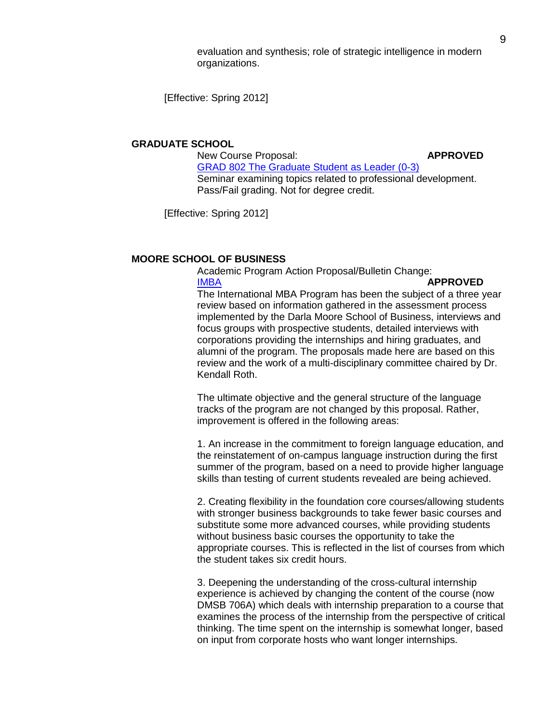evaluation and synthesis; role of strategic intelligence in modern organizations.

[Effective: Spring 2012]

#### **GRADUATE SCHOOL**

New Course Proposal: **APPROVED** [GRAD 802 The Graduate Student as Leader \(0-3\)](http://gradschool.sc.edu/gradcouncil/curr_docs/CCPGRAD802_201141.pdf) Seminar examining topics related to professional development. Pass/Fail grading. Not for degree credit.

[Effective: Spring 2012]

### **MOORE SCHOOL OF BUSINESS**

Academic Program Action Proposal/Bulletin Change: [IMBA](http://gradschool.sc.edu/gradcouncil/curr_docs/APAIMBA_201141.pdf) **APPROVED** The International MBA Program has been the subject of a three year review based on information gathered in the assessment process implemented by the Darla Moore School of Business, interviews and focus groups with prospective students, detailed interviews with corporations providing the internships and hiring graduates, and alumni of the program. The proposals made here are based on this review and the work of a multi-disciplinary committee chaired by Dr. Kendall Roth.

The ultimate objective and the general structure of the language tracks of the program are not changed by this proposal. Rather, improvement is offered in the following areas:

1. An increase in the commitment to foreign language education, and the reinstatement of on-campus language instruction during the first summer of the program, based on a need to provide higher language skills than testing of current students revealed are being achieved.

2. Creating flexibility in the foundation core courses/allowing students with stronger business backgrounds to take fewer basic courses and substitute some more advanced courses, while providing students without business basic courses the opportunity to take the appropriate courses. This is reflected in the list of courses from which the student takes six credit hours.

3. Deepening the understanding of the cross-cultural internship experience is achieved by changing the content of the course (now DMSB 706A) which deals with internship preparation to a course that examines the process of the internship from the perspective of critical thinking. The time spent on the internship is somewhat longer, based on input from corporate hosts who want longer internships.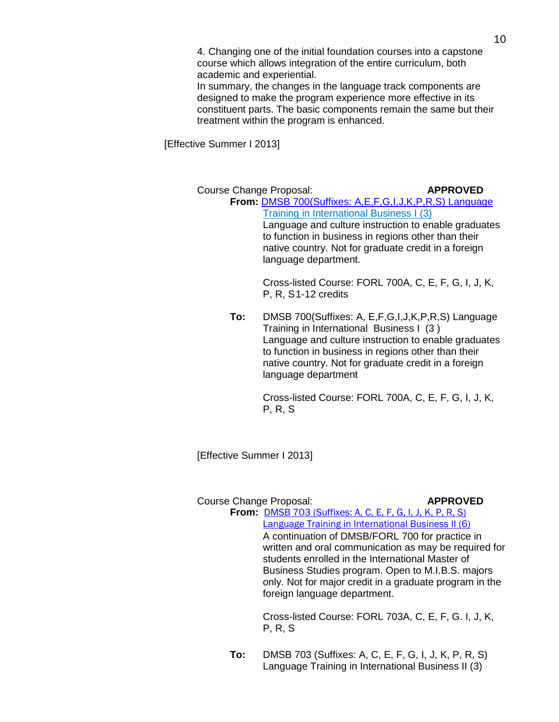4. Changing one of the initial foundation courses into a capstone course which allows integration of the entire curriculum, both academic and experiential.

In summary, the changes in the language track components are designed to make the program experience more effective in its constituent parts. The basic components remain the same but their treatment within the program is enhanced.

[Effective Summer I 2013]

Course Change Proposal: **APPROVED From:** [DMSB 700\(Suffixes: A,E,F,G,I,J,K,P,R,S\)](http://gradschool.sc.edu/gradcouncil/curr_docs/CCPDMSB700_201141.pdf) Language Training in International Business I (3) Language and culture instruction to enable graduates to function in business in regions other than their native country. Not for graduate credit in a foreign language department.

> Cross-listed Course: FORL 700A, C, E, F, G, I, J, K, P, R, S1-12 credits

**To:** DMSB 700(Suffixes: A, E,F,G,I,J,K,P,R,S) Language Training in International Business I (3 ) Language and culture instruction to enable graduates to function in business in regions other than their native country. Not for graduate credit in a foreign language department

> Cross-listed Course: FORL 700A, C, E, F, G, I, J, K, P, R, S

[Effective Summer I 2013]

### Course Change Proposal: **APPROVED**

**From:** DMSB 703 [\(Suffixes: A, C, E, F, G, I, J, K, P, R, S\)](http://gradschool.sc.edu/gradcouncil/curr_docs/CCPDMSB703_201141.pdf) [Language Training in International Business II \(6\)](http://gradschool.sc.edu/gradcouncil/curr_docs/CCPDMSB703_201141.pdf)

A continuation of DMSB/FORL 700 for practice in written and oral communication as may be required for students enrolled in the International Master of Business Studies program. Open to M.I.B.S. majors only. Not for major credit in a graduate program in the foreign language department.

Cross-listed Course: FORL 703A, C, E, F, G. I, J, K, P, R, S

**To:** DMSB 703 (Suffixes: A, C, E, F, G, I, J, K, P, R, S) Language Training in International Business II (3)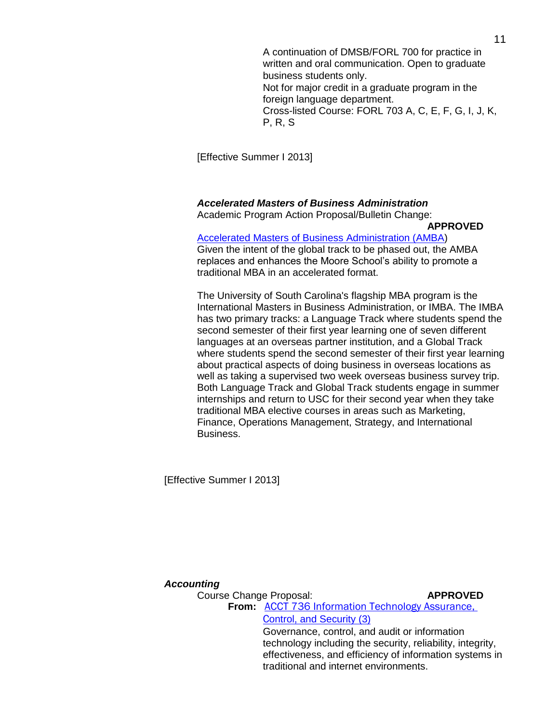A continuation of DMSB/FORL 700 for practice in written and oral communication. Open to graduate business students only. Not for major credit in a graduate program in the foreign language department. Cross-listed Course: FORL 703 A, C, E, F, G, I, J, K, P, R, S

[Effective Summer I 2013]

### *Accelerated Masters of Business Administration*

Academic Program Action Proposal/Bulletin Change:

#### **APPROVED**

[Accelerated Masters of Business Administration \(AMBA\)](http://gradschool.sc.edu/gradcouncil/curr_docs/APAAMBA_201141.pdf) Given the intent of the global track to be phased out, the AMBA replaces and enhances the Moore School's ability to promote a traditional MBA in an accelerated format.

The University of South Carolina's flagship MBA program is the International Masters in Business Administration, or IMBA. The IMBA has two primary tracks: a Language Track where students spend the second semester of their first year learning one of seven different languages at an overseas partner institution, and a Global Track where students spend the second semester of their first year learning about practical aspects of doing business in overseas locations as well as taking a supervised two week overseas business survey trip. Both Language Track and Global Track students engage in summer internships and return to USC for their second year when they take traditional MBA elective courses in areas such as Marketing, Finance, Operations Management, Strategy, and International Business.

[Effective Summer I 2013]

#### *Accounting*

Course Change Proposal: **APPROVED From:** [ACCT 736 Information Technology Assurance,](http://gradschool.sc.edu/gradcouncil/curr_docs/CCPACCT736_201141.pdf)  C[ontrol, and Security \(3\)](http://gradschool.sc.edu/gradcouncil/curr_docs/CCPACCT736_201141.pdf) Governance, control, and audit or information technology including the security, reliability, integrity, effectiveness, and efficiency of information systems in traditional and internet environments.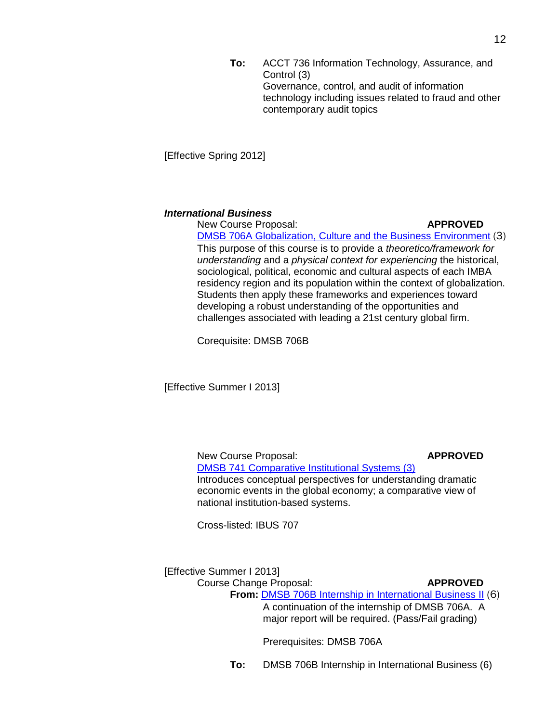**To:** ACCT 736 Information Technology, Assurance, and Control (3) Governance, control, and audit of information technology including issues related to fraud and other contemporary audit topics

[Effective Spring 2012]

#### *International Business*

New Course Proposal: **APPROVED** [DMSB 706A Globalization, Culture and the Business Environment](http://gradschool.sc.edu/gradcouncil/curr_docs/NCPDMSB706A_201141.pdf) (3) This purpose of this course is to provide a *theoretico/framework for understanding* and a *physical context for experiencing* the historical, sociological, political, economic and cultural aspects of each IMBA residency region and its population within the context of globalization. Students then apply these frameworks and experiences toward developing a robust understanding of the opportunities and challenges associated with leading a 21st century global firm.

Corequisite: DMSB 706B

[Effective Summer I 2013]

New Course Proposal: **APPROVED** [DMSB 741 Comparative Institutional Systems \(3\)](http://gradschool.sc.edu/gradcouncil/curr_docs/NCPDMSB741_201141.pdf) Introduces conceptual perspectives for understanding dramatic economic events in the global economy; a comparative view of national institution-based systems.

Cross-listed: IBUS 707

[Effective Summer I 2013]

Course Change Proposal: **APPROVED**

**From:** [DMSB 706B Internship in International Business II](http://gradschool.sc.edu/gradcouncil/curr_docs/CCPDMSB706B_201141.pdf) (6) A continuation of the internship of DMSB 706A. A major report will be required. (Pass/Fail grading)

Prerequisites: DMSB 706A

**To:** DMSB 706B Internship in International Business (6)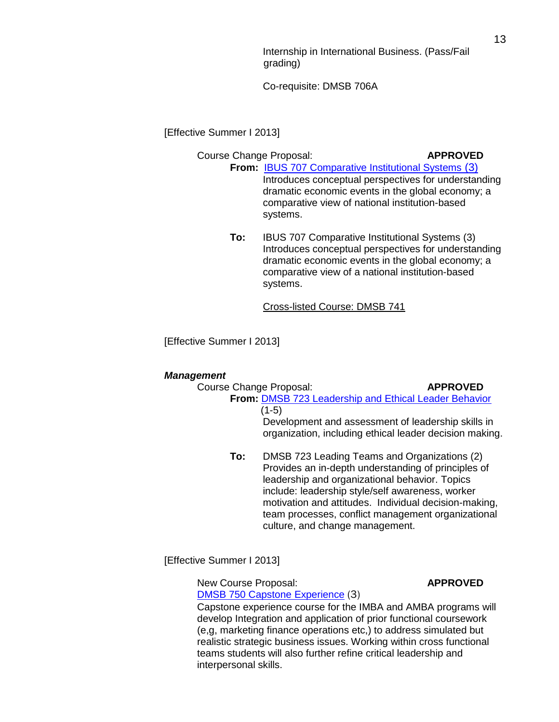Internship in International Business. (Pass/Fail grading)

Co-requisite: DMSB 706A

[Effective Summer I 2013]

### Course Change Proposal: **APPROVED**

- **From:** [IBUS 707 Comparative Institutional Systems](http://gradschool.sc.edu/gradcouncil/curr_docs/CCPIBUS707_201141.pdf) (3) Introduces conceptual perspectives for understanding dramatic economic events in the global economy; a comparative view of national institution-based systems.
	- **To:** IBUS 707 Comparative Institutional Systems (3) Introduces conceptual perspectives for understanding dramatic economic events in the global economy; a comparative view of a national institution-based systems.

Cross-listed Course: DMSB 741

[Effective Summer I 2013]

### *Management*

| Course Change Proposal:                          |                                                | <b>APPROVED</b>                                         |
|--------------------------------------------------|------------------------------------------------|---------------------------------------------------------|
|                                                  |                                                | From: DMSB 723 Leadership and Ethical Leader Behavior   |
|                                                  | (1-5)                                          |                                                         |
|                                                  |                                                | Development and assessment of leadership skills in      |
|                                                  |                                                | organization, including ethical leader decision making. |
| To:                                              |                                                | DMSB 723 Leading Teams and Organizations (2)            |
|                                                  |                                                | Provides an in-depth understanding of principles of     |
|                                                  | leadership and organizational behavior. Topics |                                                         |
| include: leadership style/self awareness, worker |                                                |                                                         |
|                                                  |                                                | motivation and attitudes. Individual decision-making.   |

motivation and attitudes. Individual decision-making, team processes, conflict management organizational culture, and change management.

[Effective Summer I 2013]

New Course Proposal: **APPROVED** 

[DMSB 750 Capstone Experience](http://gradschool.sc.edu/gradcouncil/curr_docs/NCPDMSB750_201141.pdf) (3)

Capstone experience course for the IMBA and AMBA programs will develop Integration and application of prior functional coursework (e,g, marketing finance operations etc,) to address simulated but realistic strategic business issues. Working within cross functional teams students will also further refine critical leadership and interpersonal skills.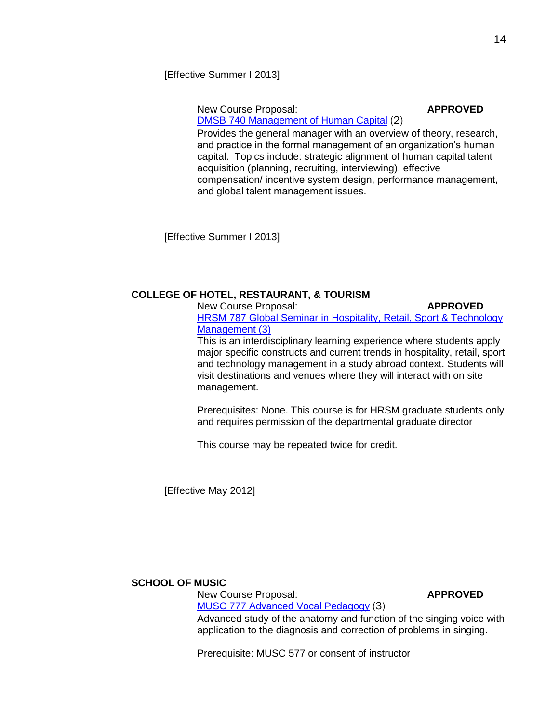[Effective Summer I 2013]

New Course Proposal: **APPROVED** [DMSB 740 Management of Human Capital](http://gradschool.sc.edu/gradcouncil/curr_docs/NCPDMSB740_201141.pdf) (2)

Provides the general manager with an overview of theory, research, and practice in the formal management of an organization's human capital. Topics include: strategic alignment of human capital talent acquisition (planning, recruiting, interviewing), effective compensation/ incentive system design, performance management, and global talent management issues.

[Effective Summer I 2013]

## **COLLEGE OF HOTEL, RESTAURANT, & TOURISM**

New Course Proposal: **APPROVED** [HRSM 787 Global Seminar in Hospitality, Retail, Sport & Technology](http://gradschool.sc.edu/gradcouncil/curr_docs/NCPHRSM787_201141.pdf)  [Management \(3\)](http://gradschool.sc.edu/gradcouncil/curr_docs/NCPHRSM787_201141.pdf)

This is an interdisciplinary learning experience where students apply major specific constructs and current trends in hospitality, retail, sport and technology management in a study abroad context. Students will visit destinations and venues where they will interact with on site management.

Prerequisites: None. This course is for HRSM graduate students only and requires permission of the departmental graduate director

This course may be repeated twice for credit.

[Effective May 2012]

### **SCHOOL OF MUSIC**

New Course Proposal: **APPROVED** [MUSC 777 Advanced Vocal Pedagogy](http://gradschool.sc.edu/gradcouncil/curr_docs/NCPMUSC777_201141.pdf) (3)

Advanced study of the anatomy and function of the singing voice with application to the diagnosis and correction of problems in singing.

Prerequisite: MUSC 577 or consent of instructor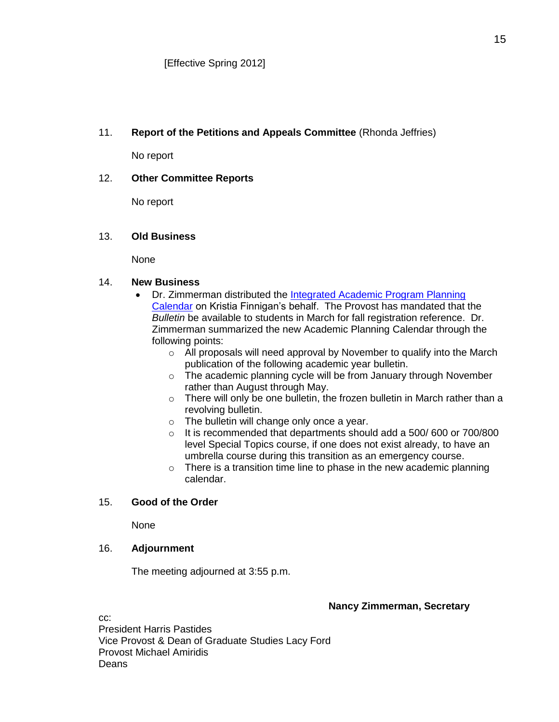# 11. **Report of the Petitions and Appeals Committee** (Rhonda Jeffries)

No report

# 12. **Other Committee Reports**

No report

## 13. **Old Business**

None

## 14. **New Business**

- Dr. Zimmerman distributed the *Integrated Academic Program Planning* [Calendar](file://COGRDSWEB/gradcouncil/CURR_DOCS/IntegratedAcadProgPlanningCalendar%20FNL%20101311.pdf) on Kristia Finnigan's behalf. The Provost has mandated that the *Bulletin* be available to students in March for fall registration reference. Dr. Zimmerman summarized the new Academic Planning Calendar through the following points:
	- o All proposals will need approval by November to qualify into the March publication of the following academic year bulletin.
	- o The academic planning cycle will be from January through November rather than August through May.
	- o There will only be one bulletin, the frozen bulletin in March rather than a revolving bulletin.
	- o The bulletin will change only once a year.
	- o It is recommended that departments should add a 500/ 600 or 700/800 level Special Topics course, if one does not exist already, to have an umbrella course during this transition as an emergency course.
	- $\circ$  There is a transition time line to phase in the new academic planning calendar.

# 15. **Good of the Order**

None

## 16. **Adjournment**

The meeting adjourned at 3:55 p.m.

## **Nancy Zimmerman, Secretary**

cc: President Harris Pastides Vice Provost & Dean of Graduate Studies Lacy Ford Provost Michael Amiridis Deans